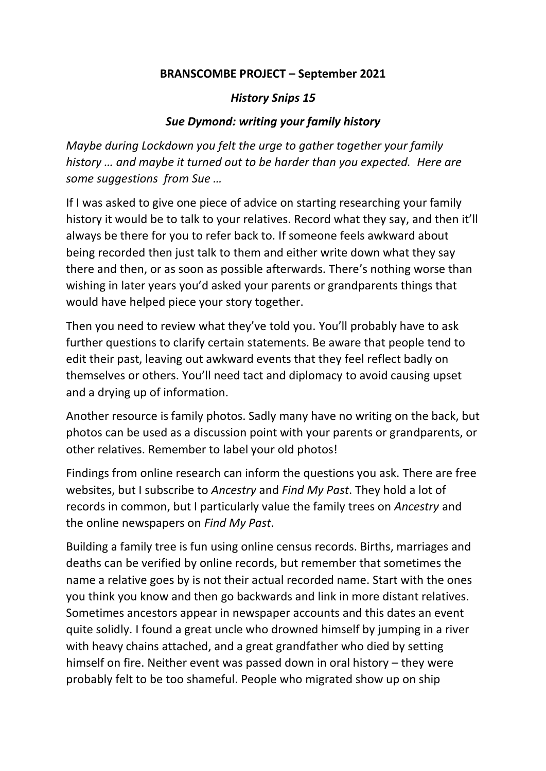## **BRANSCOMBE PROJECT – September 2021**

## *History Snips 15*

## *Sue Dymond: writing your family history*

*Maybe during Lockdown you felt the urge to gather together your family history … and maybe it turned out to be harder than you expected. Here are some suggestions from Sue …*

If I was asked to give one piece of advice on starting researching your family history it would be to talk to your relatives. Record what they say, and then it'll always be there for you to refer back to. If someone feels awkward about being recorded then just talk to them and either write down what they say there and then, or as soon as possible afterwards. There's nothing worse than wishing in later years you'd asked your parents or grandparents things that would have helped piece your story together.

Then you need to review what they've told you. You'll probably have to ask further questions to clarify certain statements. Be aware that people tend to edit their past, leaving out awkward events that they feel reflect badly on themselves or others. You'll need tact and diplomacy to avoid causing upset and a drying up of information.

Another resource is family photos. Sadly many have no writing on the back, but photos can be used as a discussion point with your parents or grandparents, or other relatives. Remember to label your old photos!

Findings from online research can inform the questions you ask. There are free websites, but I subscribe to *Ancestry* and *Find My Past*. They hold a lot of records in common, but I particularly value the family trees on *Ancestry* and the online newspapers on *Find My Past*.

Building a family tree is fun using online census records. Births, marriages and deaths can be verified by online records, but remember that sometimes the name a relative goes by is not their actual recorded name. Start with the ones you think you know and then go backwards and link in more distant relatives. Sometimes ancestors appear in newspaper accounts and this dates an event quite solidly. I found a great uncle who drowned himself by jumping in a river with heavy chains attached, and a great grandfather who died by setting himself on fire. Neither event was passed down in oral history – they were probably felt to be too shameful. People who migrated show up on ship